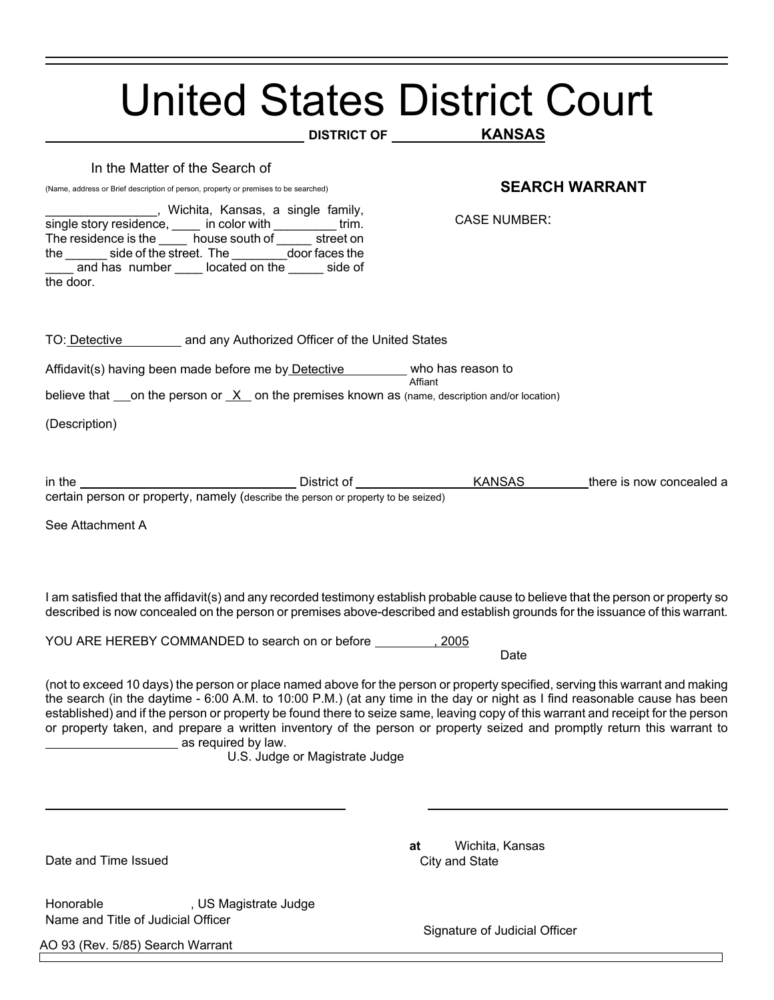|                                                                                                                                                                                                                                                                                                                                                                                                                                                                                                                                                                                     | <b>United States District Court</b><br><b>KANSAS</b> |  |
|-------------------------------------------------------------------------------------------------------------------------------------------------------------------------------------------------------------------------------------------------------------------------------------------------------------------------------------------------------------------------------------------------------------------------------------------------------------------------------------------------------------------------------------------------------------------------------------|------------------------------------------------------|--|
| In the Matter of the Search of<br>(Name, address or Brief description of person, property or premises to be searched)<br>_______, Wichita, Kansas, a single family,<br>single story residence, _____ in color with ____________ trim.<br>The residence is the _______ house south of _______ street on                                                                                                                                                                                                                                                                              | <b>SEARCH WARRANT</b><br><b>CASE NUMBER:</b>         |  |
| the ________ side of the street. The __________door faces the<br>and has number _____ located on the ______ side of<br>the door.                                                                                                                                                                                                                                                                                                                                                                                                                                                    |                                                      |  |
| TO: Detective and any Authorized Officer of the United States                                                                                                                                                                                                                                                                                                                                                                                                                                                                                                                       |                                                      |  |
| Affidavit(s) having been made before me by Detective _______ who has reason to                                                                                                                                                                                                                                                                                                                                                                                                                                                                                                      | Affiant                                              |  |
| believe that $\_\$ on the person or $X$ on the premises known as (name, description and/or location)                                                                                                                                                                                                                                                                                                                                                                                                                                                                                |                                                      |  |
| (Description)                                                                                                                                                                                                                                                                                                                                                                                                                                                                                                                                                                       |                                                      |  |
| certain person or property, namely (describe the person or property to be seized)<br>See Attachment A                                                                                                                                                                                                                                                                                                                                                                                                                                                                               |                                                      |  |
| I am satisfied that the affidavit(s) and any recorded testimony establish probable cause to believe that the person or property so<br>described is now concealed on the person or premises above-described and establish grounds for the issuance of this warrant.                                                                                                                                                                                                                                                                                                                  |                                                      |  |
| YOU ARE HEREBY COMMANDED to search on or before                                                                                                                                                                                                                                                                                                                                                                                                                                                                                                                                     | 2005<br>Date                                         |  |
| (not to exceed 10 days) the person or place named above for the person or property specified, serving this warrant and making<br>the search (in the daytime - 6:00 A.M. to 10:00 P.M.) (at any time in the day or night as I find reasonable cause has been<br>established) and if the person or property be found there to seize same, leaving copy of this warrant and receipt for the person<br>or property taken, and prepare a written inventory of the person or property seized and promptly return this warrant to<br>as required by law.<br>U.S. Judge or Magistrate Judge |                                                      |  |
|                                                                                                                                                                                                                                                                                                                                                                                                                                                                                                                                                                                     |                                                      |  |
| Date and Time Issued                                                                                                                                                                                                                                                                                                                                                                                                                                                                                                                                                                | Wichita, Kansas<br>at<br>City and State              |  |
| Honorable<br>, US Magistrate Judge<br>Name and Title of Judicial Officer                                                                                                                                                                                                                                                                                                                                                                                                                                                                                                            | Signature of Judicial Officer                        |  |
| AO 93 (Rev. 5/85) Search Warrant                                                                                                                                                                                                                                                                                                                                                                                                                                                                                                                                                    |                                                      |  |